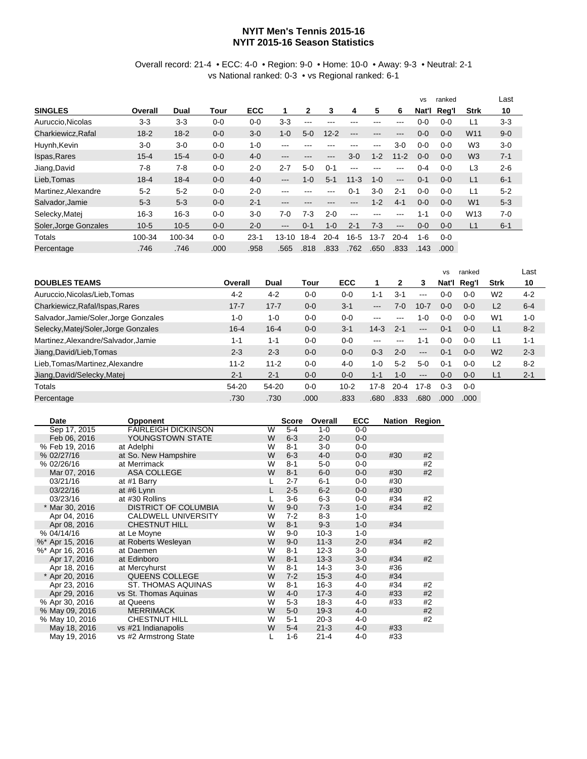## **NYIT Men's Tennis 2015-16 NYIT 2015-16 Season Statistics**

## Overall record: 21-4 • ECC: 4-0 • Region: 9-0 • Home: 10-0 • Away: 9-3 • Neutral: 2-1 vs National ranked: 0-3 • vs Regional ranked: 6-1

|                       |          |          |         |            |           |              |          |          |         |          | <b>VS</b> | ranked  |                 | Last    |
|-----------------------|----------|----------|---------|------------|-----------|--------------|----------|----------|---------|----------|-----------|---------|-----------------|---------|
| <b>SINGLES</b>        | Overall  | Dual     | Tour    | <b>ECC</b> | 1         | $\mathbf{2}$ | 3        | 4        | 5       | 6        | Nat'l     | Reg'l   | <b>Strk</b>     | 10      |
| Auruccio, Nicolas     | $3-3$    | $3-3$    | $0 - 0$ | $0 - 0$    | $3-3$     | ---          | ---      | ---      | ---     | ---      | 0-0       | $0 - 0$ | L1              | $3 - 3$ |
| Charkiewicz.Rafal     | $18 - 2$ | $18 - 2$ | $0 - 0$ | $3 - 0$    | $1 - 0$   | $5-0$        | $12 - 2$ | ---      | ---     | ---      | $0 - 0$   | $0 - 0$ | W <sub>11</sub> | $9 - 0$ |
| Huynh, Kevin          | $3-0$    | $3-0$    | $0 - 0$ | $1 - 0$    | ---       |              |          |          | ---     | 3-0      | $0 - 0$   | $0 - 0$ | W <sub>3</sub>  | $3-0$   |
| Ispas, Rares          | $15 - 4$ | $15 - 4$ | $0-0$   | $4 - 0$    | ---       | ---          | ---      | $3-0$    | $1 - 2$ | $11 - 2$ | $0 - 0$   | $0 - 0$ | W <sub>3</sub>  | $7 - 1$ |
| Jiang, David          | $7-8$    | $7-8$    | $0 - 0$ | $2 - 0$    | $2 - 7$   | $5-0$        | $0 - 1$  | ---      | ---     | ---      | 0-4       | $0 - 0$ | L3              | $2 - 6$ |
| Lieb.Tomas            | $18 - 4$ | $18 - 4$ | $0 - 0$ | $4 - 0$    | ---       | $1-0$        | $5 - 1$  | $11 - 3$ | $1 - 0$ | $---$    | $0 - 1$   | $0 - 0$ | L1              | $6 - 1$ |
| Martinez, Alexandre   | $5 - 2$  | $5 - 2$  | $0-0$   | $2 - 0$    | ---       | ---          | ---      | $0 - 1$  | $3-0$   | $2 - 1$  | $0 - 0$   | $0 - 0$ | L1              | $5 - 2$ |
| Salvador, Jamie       | $5-3$    | $5-3$    | $0 - 0$ | $2 - 1$    | ---       | ---          | ---      | ---      | $1 - 2$ | $4 - 1$  | $0 - 0$   | $0 - 0$ | W <sub>1</sub>  | $5-3$   |
| Selecky, Matei        | $16 - 3$ | $16 - 3$ | $0 - 0$ | $3-0$      | $7-0$     | $7-3$        | $2 - 0$  | $--$     | ---     | ---      | $1 - 1$   | $0 - 0$ | W <sub>13</sub> | $7-0$   |
| Soler, Jorge Gonzales | $10-5$   | $10-5$   | $0 - 0$ | $2 - 0$    | ---       | $0 - 1$      | $1 - 0$  | $2 - 1$  | $7-3$   | $---$    | $0 - 0$   | $0 - 0$ | L1              | $6 - 1$ |
| Totals                | 100-34   | 100-34   | $0 - 0$ | $23 - 1$   | $13 - 10$ | $18-4$       | $20 - 4$ | $16 - 5$ | $3 - 7$ | $20 - 4$ | $1 - 6$   | $0 - 0$ |                 |         |
| Percentage            | .746     | .746     | .000    | .958       | .565      | .818         | .833     | .762     | .650    | .833     | .143      | .000    |                 |         |

|                                       |          |          |         |          |                   |          |                   | <b>VS</b> | ranked  |                | Last    |
|---------------------------------------|----------|----------|---------|----------|-------------------|----------|-------------------|-----------|---------|----------------|---------|
| <b>DOUBLES TEAMS</b>                  | Overall  | Dual     | Tour    | ECC      |                   | 2        | 3                 | Nat'l     | Reg'l   | <b>Strk</b>    | 10      |
| Auruccio, Nicolas/Lieb, Tomas         | $4 - 2$  | $4 - 2$  | $0 - 0$ | $0 - 0$  | $1 - 1$           | $3 - 1$  | $---$             | $0-0$     | $0 - 0$ | W <sub>2</sub> | $4 - 2$ |
| Charkiewicz, Rafal/Ispas, Rares       | $17 - 7$ | $17 - 7$ | $0 - 0$ | $3 - 1$  | $\qquad \qquad -$ | 7-0      | $10 - 7$          | $0 - 0$   | $0 - 0$ | L2             | $6 - 4$ |
| Salvador, Jamie/Soler, Jorge Gonzales | $1 - 0$  | 1-0      | $0 - 0$ | $0 - 0$  | $\frac{1}{2}$     |          | $1 - 0$           | $0-0$     | $0 - 0$ | W1             | $1 - 0$ |
| Selecky, Matej/Soler, Jorge Gonzales  | $16 - 4$ | $16 - 4$ | $0 - 0$ | $3 - 1$  | $14-3$            | $2 - 1$  | $---$             | $0 - 1$   | $0 - 0$ | L <sub>1</sub> | $8 - 2$ |
| Martinez, Alexandre/Salvador, Jamie   | 1-1      | $1 - 1$  | $0 - 0$ | $0 - 0$  | ---               | ---      | 1-1               | $0-0$     | $0 - 0$ | L1             | $1 - 1$ |
| Jiang, David/Lieb, Tomas              | $2 - 3$  | $2 - 3$  | $0 - 0$ | $0 - 0$  | $0 - 3$           | $2 - 0$  | $---$             | $0 - 1$   | $0 - 0$ | W <sub>2</sub> | $2 - 3$ |
| Lieb, Tomas/Martinez, Alexandre       | $11 - 2$ | $11 - 2$ | $0 - 0$ | $4 - 0$  | 1-0               | $5-2$    | $5-0$             | $0 - 1$   | $0 - 0$ | L2             | $8 - 2$ |
| Jiang, David/Selecky, Matej           | $2 - 1$  | $2 - 1$  | $0 - 0$ | $0 - 0$  | $1 - 1$           | $1 - 0$  | $\qquad \qquad -$ | $0 - 0$   | $0 - 0$ | L1             | $2 - 1$ |
| Totals                                | 54-20    | 54-20    | $0 - 0$ | $10 - 2$ | $17-8$            | $20 - 4$ | $17 - 8$          | $0 - 3$   | $0-0$   |                |         |
| Percentage                            | .730     | .730     | .000    | .833     | .680              | .833     | .680              | .000      | .000    |                |         |

| Date            | <b>Opponent</b>             |   | <b>Score</b> | Overall  | <b>ECC</b> |     | <b>Nation Region</b> |
|-----------------|-----------------------------|---|--------------|----------|------------|-----|----------------------|
| Sep 17, 2015    | <b>FAIRLEIGH DICKINSON</b>  | W | $5 - 4$      | $1 - 0$  | $0 - 0$    |     |                      |
| Feb 06, 2016    | YOUNGSTOWN STATE            | W | $6 - 3$      | $2 - 0$  | $0-0$      |     |                      |
| % Feb 19, 2016  | at Adelphi                  | W | $8 - 1$      | $3-0$    | $0 - 0$    |     |                      |
| % 02/27/16      | at So. New Hampshire        | W | $6 - 3$      | 4-0      | $0-0$      | #30 | #2                   |
| % 02/26/16      | at Merrimack                | W | $8 - 1$      | $5-0$    | $0-0$      |     | #2                   |
| Mar 07, 2016    | <b>ASA COLLEGE</b>          | W | $8 - 1$      | $6-0$    | $0-0$      | #30 | #2                   |
| 03/21/16        | at #1 Barry                 |   | $2 - 7$      | $6 - 1$  | $0-0$      | #30 |                      |
| 03/22/16        | at #6 Lynn                  |   | $2 - 5$      | $6-2$    | $0-0$      | #30 |                      |
| 03/23/16        | at #30 Rollins              |   | $3-6$        | $6-3$    | 0-0        | #34 | #2                   |
| * Mar 30, 2016  | <b>DISTRICT OF COLUMBIA</b> | W | $9 - 0$      | $7-3$    | $1 - 0$    | #34 | #2                   |
| Apr 04, 2016    | <b>CALDWELL UNIVERSITY</b>  | W | $7 - 2$      | $8 - 3$  | $1 - 0$    |     |                      |
| Apr 08, 2016    | <b>CHESTNUT HILL</b>        | W | $8 - 1$      | $9 - 3$  | $1 - 0$    | #34 |                      |
| % 04/14/16      | at Le Moyne                 | W | $9 - 0$      | $10-3$   | $1 - 0$    |     |                      |
| %* Apr 15, 2016 | at Roberts Wesleyan         | W | $9 - 0$      | $11-3$   | $2 - 0$    | #34 | #2                   |
| %* Apr 16, 2016 | at Daemen                   | W | $8 - 1$      | $12-3$   | $3-0$      |     |                      |
| Apr 17, 2016    | at Edinboro                 | W | $8 - 1$      | $13-3$   | $3-0$      | #34 | #2                   |
| Apr 18, 2016    | at Mercyhurst               | W | $8 - 1$      | $14-3$   | $3-0$      | #36 |                      |
| * Apr 20, 2016  | QUEENS COLLEGE              | W | $7 - 2$      | $15-3$   | $4 - 0$    | #34 |                      |
| Apr 23, 2016    | <b>ST. THOMAS AQUINAS</b>   | W | $8 - 1$      | $16-3$   | 4-0        | #34 | #2                   |
| Apr 29, 2016    | vs St. Thomas Aquinas       | W | $4 - 0$      | $17-3$   | $4 - 0$    | #33 | #2                   |
| % Apr 30, 2016  | at Queens                   | W | $5-3$        | $18-3$   | 4-0        | #33 | #2                   |
| % May 09, 2016  | <b>MERRIMACK</b>            | W | $5-0$        | $19-3$   | $4 - 0$    |     | #2                   |
| % May 10, 2016  | <b>CHESTNUT HILL</b>        | W | $5 - 1$      | $20-3$   | $4 - 0$    |     | #2                   |
| May 18, 2016    | vs #21 Indianapolis         | W | $5 - 4$      | $21 - 3$ | $4 - 0$    | #33 |                      |
| May 19, 2016    | vs #2 Armstrong State       |   | $1 - 6$      | $21 - 4$ | 4-0        | #33 |                      |